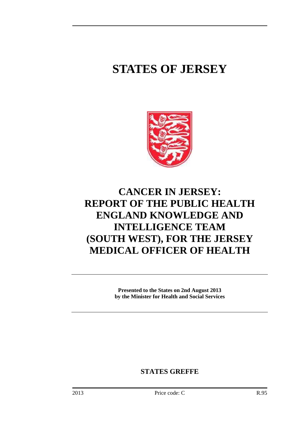# **STATES OF JERSEY**



# **CANCER IN JERSEY: REPORT OF THE PUBLIC HEALTH ENGLAND KNOWLEDGE AND INTELLIGENCE TEAM (SOUTH WEST), FOR THE JERSEY MEDICAL OFFICER OF HEALTH**

**Presented to the States on 2nd August 2013 by the Minister for Health and Social Services** 

**STATES GREFFE**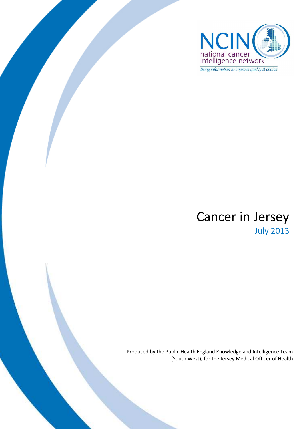

# Cancer in Jersey July 2013

Produced by the Public Health England Knowledge and Intelligence Team (South West), for the Jersey Medical Officer of Health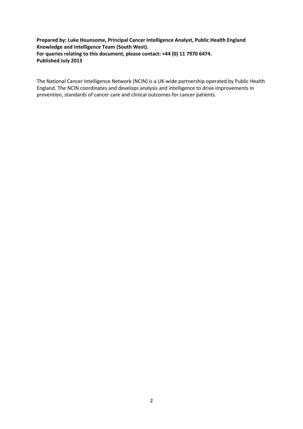#### **Prepared by: Luke Hounsome, Principal Cancer Intelligence Analyst, Public Health England Knowledge and Intelligence Team (South West). For queries relating to this document, please contact: +44 (0) 11 7970 6474. Published July 2013**

The National Cancer Intelligence Network (NCIN) is a UK-wide partnership operated by Public Health England. The NCIN coordinates and develops analysis and intelligence to drive improvements in prevention, standards of cancer care and clinical outcomes for cancer patients.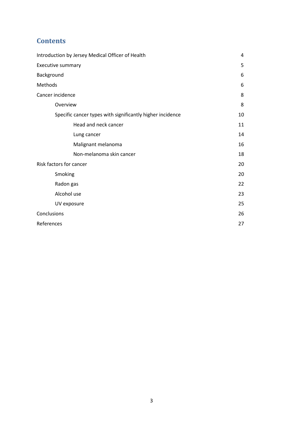# **Contents**

| Introduction by Jersey Medical Officer of Health          | 4  |
|-----------------------------------------------------------|----|
| Executive summary                                         | 5  |
| Background                                                | 6  |
| Methods                                                   | 6  |
| Cancer incidence                                          | 8  |
| Overview                                                  | 8  |
| Specific cancer types with significantly higher incidence | 10 |
| Head and neck cancer                                      | 11 |
| Lung cancer                                               | 14 |
| Malignant melanoma                                        | 16 |
| Non-melanoma skin cancer                                  | 18 |
| Risk factors for cancer                                   | 20 |
| Smoking                                                   | 20 |
| Radon gas                                                 | 22 |
| Alcohol use                                               | 23 |
| UV exposure                                               | 25 |
| Conclusions                                               | 26 |
| References                                                | 27 |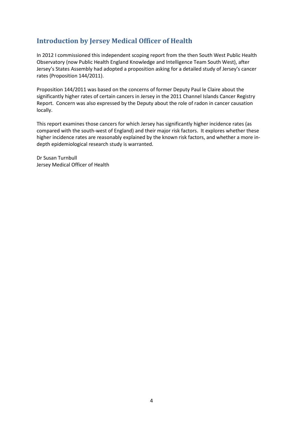# **Introduction by Jersey Medical Officer of Health**

In 2012 I commissioned this independent scoping report from the then South West Public Health Observatory (now Public Health England Knowledge and Intelligence Team South West), after Jersey's States Assembly had adopted a proposition asking for a detailed study of Jersey's cancer rates (Proposition 144/2011).

Proposition 144/2011 was based on the concerns of former Deputy Paul le Claire about the significantly higher rates of certain cancers in Jersey in the 2011 Channel Islands Cancer Registry Report. Concern was also expressed by the Deputy about the role of radon in cancer causation locally.

This report examines those cancers for which Jersey has significantly higher incidence rates (as compared with the south-west of England) and their major risk factors. It explores whether these higher incidence rates are reasonably explained by the known risk factors, and whether a more indepth epidemiological research study is warranted.

Dr Susan Turnbull Jersey Medical Officer of Health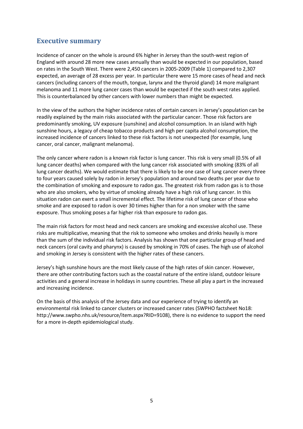# **Executive summary**

Incidence of cancer on the whole is around 6% higher in Jersey than the south-west region of England with around 28 more new cases annually than would be expected in our population, based on rates in the South West. There were 2,450 cancers in 2005-2009 (Table 1) compared to 2,307 expected, an average of 28 excess per year. In particular there were 15 more cases of head and neck cancers (including cancers of the mouth, tongue, larynx and the thyroid gland) 14 more malignant melanoma and 11 more lung cancer cases than would be expected if the south west rates applied. This is counterbalanced by other cancers with lower numbers than might be expected.

In the view of the authors the higher incidence rates of certain cancers in Jersey's population can be readily explained by the main risks associated with the particular cancer. Those risk factors are predominantly smoking, UV exposure (sunshine) and alcohol consumption. In an island with high sunshine hours, a legacy of cheap tobacco products and high per capita alcohol consumption, the increased incidence of cancers linked to these risk factors is not unexpected (for example, lung cancer, oral cancer, malignant melanoma).

The only cancer where radon is a known risk factor is lung cancer. This risk is very small (0.5% of all lung cancer deaths) when compared with the lung cancer risk associated with smoking (83% of all lung cancer deaths). We would estimate that there is likely to be one case of lung cancer every three to four years caused solely by radon in Jersey's population and around two deaths per year due to the combination of smoking and exposure to radon gas. The greatest risk from radon gas is to those who are also smokers, who by virtue of smoking already have a high risk of lung cancer. In this situation radon can exert a small incremental effect. The lifetime risk of lung cancer of those who smoke and are exposed to radon is over 30 times higher than for a non smoker with the same exposure. Thus smoking poses a far higher risk than exposure to radon gas.

The main risk factors for most head and neck cancers are smoking and excessive alcohol use. These risks are multiplicative, meaning that the risk to someone who smokes and drinks heavily is more than the sum of the individual risk factors. Analysis has shown that one particular group of head and neck cancers (oral cavity and pharynx) is caused by smoking in 70% of cases. The high use of alcohol and smoking in Jersey is consistent with the higher rates of these cancers.

Jersey's high sunshine hours are the most likely cause of the high rates of skin cancer. However, there are other contributing factors such as the coastal nature of the entire island, outdoor leisure activities and a general increase in holidays in sunny countries. These all play a part in the increased and increasing incidence.

On the basis of this analysis of the Jersey data and our experience of trying to identify an environmental risk linked to cancer clusters or increased cancer rates (SWPHO factsheet No18: http://www.swpho.nhs.uk/resource/item.aspx?RID=9108), there is no evidence to support the need for a more in-depth epidemiological study.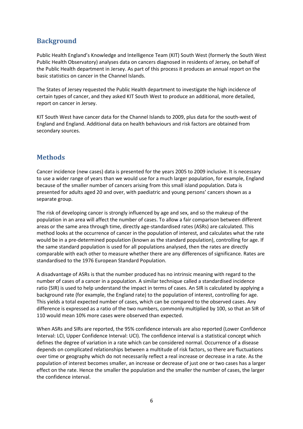# **Background**

Public Health England's Knowledge and Intelligence Team (KIT) South West (formerly the South West Public Health Observatory) analyses data on cancers diagnosed in residents of Jersey, on behalf of the Public Health department in Jersey. As part of this process it produces an annual report on the basic statistics on cancer in the Channel Islands.

The States of Jersey requested the Public Health department to investigate the high incidence of certain types of cancer, and they asked KIT South West to produce an additional, more detailed, report on cancer in Jersey.

KIT South West have cancer data for the Channel Islands to 2009, plus data for the south-west of England and England. Additional data on health behaviours and risk factors are obtained from secondary sources.

# **Methods**

Cancer incidence (new cases) data is presented for the years 2005 to 2009 inclusive. It is necessary to use a wider range of years than we would use for a much larger population, for example, England because of the smaller number of cancers arising from this small island population. Data is presented for adults aged 20 and over, with paediatric and young persons' cancers shown as a separate group.

The risk of developing cancer is strongly influenced by age and sex, and so the makeup of the population in an area will affect the number of cases. To allow a fair comparison between different areas or the same area through time, directly age-standardised rates (ASRs) are calculated. This method looks at the occurrence of cancer in the population of interest, and calculates what the rate would be in a pre-determined population (known as the standard population), controlling for age. If the same standard population is used for all populations analysed, then the rates are directly comparable with each other to measure whether there are any differences of significance. Rates are standardised to the 1976 European Standard Population.

A disadvantage of ASRs is that the number produced has no intrinsic meaning with regard to the number of cases of a cancer in a population. A similar technique called a standardised incidence ratio (SIR) is used to help understand the impact in terms of cases. An SIR is calculated by applying a background rate (for example, the England rate) to the population of interest, controlling for age. This yields a total expected number of cases, which can be compared to the observed cases. Any difference is expressed as a ratio of the two numbers, commonly multiplied by 100, so that an SIR of 110 would mean 10% more cases were observed than expected.

When ASRs and SIRs are reported, the 95% confidence intervals are also reported (Lower Confidence Interval: LCI, Upper Confidence Interval: UCI). The confidence interval is a statistical concept which defines the degree of variation in a rate which can be considered normal. Occurrence of a disease depends on complicated relationships between a multitude of risk factors, so there are fluctuations over time or geography which do not necessarily reflect a real increase or decrease in a rate. As the population of interest becomes smaller, an increase or decrease of just one or two cases has a larger effect on the rate. Hence the smaller the population and the smaller the number of cases, the larger the confidence interval.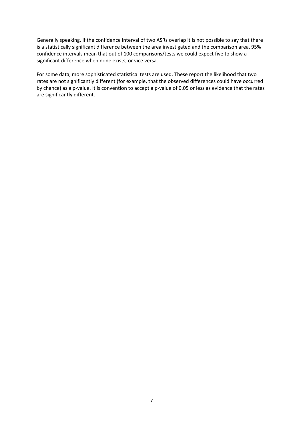Generally speaking, if the confidence interval of two ASRs overlap it is not possible to say that there is a statistically significant difference between the area investigated and the comparison area. 95% confidence intervals mean that out of 100 comparisons/tests we could expect five to show a significant difference when none exists, or vice versa.

For some data, more sophisticated statistical tests are used. These report the likelihood that two rates are not significantly different (for example, that the observed differences could have occurred by chance) as a p-value. It is convention to accept a p-value of 0.05 or less as evidence that the rates are significantly different.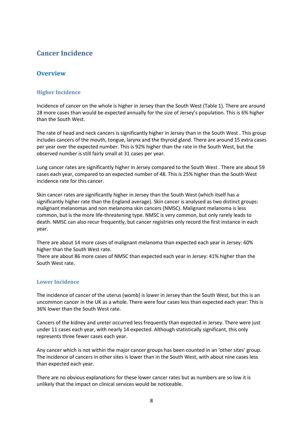# **Cancer Incidence**

### **Overview**

#### **Higher Incidence**

Incidence of cancer on the whole is higher in Jersey than the South West (Table 1). There are around 28 more cases than would be expected annually for the size of Jersey's population. This is 6% higher than the South West.

The rate of head and neck cancers is significantly higher in Jersey than in the South West . This group includes cancers of the mouth, tongue, larynx and the thyroid gland. There are around 15 extra cases per year over the expected number. This is 92% higher than the rate in the South West, but the observed number is still fairly small at 31 cases per year.

Lung cancer rates are significantly higher in Jersey compared to the South West . There are about 59 cases each year, compared to an expected number of 48. This is 25% higher than the South West incidence rate for this cancer.

Skin cancer rates are significantly higher in Jersey than the South West (which itself has a significantly higher rate than the England average). Skin cancer is analysed as two distinct groups: malignant melanomas and non melanoma skin cancers (NMSC). Malignant melanoma is less common, but is the more life-threatening type. NMSC is very common, but only rarely leads to death. NMSC can also recur frequently, but cancer registries only record the first instance in each year.

There are about 14 more cases of malignant melanoma than expected each year in Jersey: 60% higher than the South West rate.

There are about 86 more cases of NMSC than expected each year in Jersey: 41% higher than the South West rate.

#### **Lower Incidence**

The incidence of cancer of the uterus (womb) is lower in Jersey than the South West, but this is an uncommon cancer in the UK as a whole. There were four cases less than expected each year: This is 36% lower than the South West rate.

Cancers of the kidney and ureter occurred less frequently than expected in Jersey. There were just under 11 cases each year, with nearly 14 expected. Although statistically significant, this only represents three fewer cases each year.

Any cancer which is not within the major cancer groups has been counted in an 'other sites' group. The incidence of cancers in other sites is lower than in the South West, with about nine cases less than expected each year.

There are no obvious explanations for these lower cancer rates but as numbers are so low it is unlikely that the impact on clinical services would be noticeable.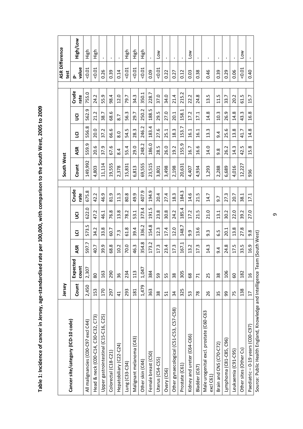| י סטטב + שטט                                                                                                                                                                                                                  |
|-------------------------------------------------------------------------------------------------------------------------------------------------------------------------------------------------------------------------------|
|                                                                                                                                                                                                                               |
|                                                                                                                                                                                                                               |
|                                                                                                                                                                                                                               |
|                                                                                                                                                                                                                               |
|                                                                                                                                                                                                                               |
|                                                                                                                                                                                                                               |
|                                                                                                                                                                                                                               |
|                                                                                                                                                                                                                               |
|                                                                                                                                                                                                                               |
|                                                                                                                                                                                                                               |
|                                                                                                                                                                                                                               |
|                                                                                                                                                                                                                               |
|                                                                                                                                                                                                                               |
|                                                                                                                                                                                                                               |
|                                                                                                                                                                                                                               |
|                                                                                                                                                                                                                               |
| [contains]<br>1.                                                                                                                                                                                                              |
|                                                                                                                                                                                                                               |
|                                                                                                                                                                                                                               |
|                                                                                                                                                                                                                               |
|                                                                                                                                                                                                                               |
|                                                                                                                                                                                                                               |
|                                                                                                                                                                                                                               |
| - - - - ^ > > > / > > - - - - - - - - - - - -                                                                                                                                                                                 |
|                                                                                                                                                                                                                               |
|                                                                                                                                                                                                                               |
|                                                                                                                                                                                                                               |
|                                                                                                                                                                                                                               |
|                                                                                                                                                                                                                               |
|                                                                                                                                                                                                                               |
|                                                                                                                                                                                                                               |
|                                                                                                                                                                                                                               |
|                                                                                                                                                                                                                               |
|                                                                                                                                                                                                                               |
|                                                                                                                                                                                                                               |
|                                                                                                                                                                                                                               |
| ころしょう こくろ こ                                                                                                                                                                                                                   |
|                                                                                                                                                                                                                               |
| … application with commonism the set of the commonism hashing basis of the set of the set of the set of the set of the set of the set of the set of the set of the set of the set of the set of the set of the set of the set |
|                                                                                                                                                                                                                               |
|                                                                                                                                                                                                                               |
| er in Jerse                                                                                                                                                                                                                   |
|                                                                                                                                                                                                                               |
|                                                                                                                                                                                                                               |
|                                                                                                                                                                                                                               |
|                                                                                                                                                                                                                               |
|                                                                                                                                                                                                                               |
|                                                                                                                                                                                                                               |
|                                                                                                                                                                                                                               |
|                                                                                                                                                                                                                               |
|                                                                                                                                                                                                                               |
|                                                                                                                                                                                                                               |
|                                                                                                                                                                                                                               |
|                                                                                                                                                                                                                               |
|                                                                                                                                                                                                                               |
|                                                                                                                                                                                                                               |

|                                                                    | Jersey          |                        |                                           |                  |                        |               | South West |           |                         |                   |               | ASR Difference<br>test |                 |
|--------------------------------------------------------------------|-----------------|------------------------|-------------------------------------------|------------------|------------------------|---------------|------------|-----------|-------------------------|-------------------|---------------|------------------------|-----------------|
| Cancer site/category (ICD-10 code)                                 | Count           | তু<br>Expecte<br>count | ASR                                       | $\overline{9}$   | $\overline{S}$         | Crude<br>rate | Count      | ASR       | $\overline{9}$          | $\bar{\mathsf S}$ | Crude<br>rate | value<br>ݟ             | <b>Mor/PalH</b> |
| All malignancies (C00-C97 excl C44)                                | 2,450           | 2,307                  | 597.7                                     | 573.5            | 622.0                  | 675.8         | 149,992    | ن<br>559. | $^{\circ}$<br>556.      | თ<br>562.         | 755.0         | $-0.01$                | High            |
| Head & neck (COO-C14, C3O-C32, C73)                                | 153             | 80                     | 40.7                                      | 34.2             | 47.2                   | 42.2          | 4,803      | 20.6      | 20.0                    | 21.2              | 24.2          | 0.01                   | 들도              |
| Upper gastrointestinal (C15-C16, C25)                              | 170             | 163                    | 39.9                                      | 33.8             | 46.1                   | 46.9          | 11,114     | 37.9      | 37.2                    | 38.7              | 9<br>ம்<br>ഥ  | 0.26                   |                 |
| Colorectal (C18-C21)                                               | 297             | 290                    | 68.8                                      | 60.7             | 76.8                   | 81.9          | 19,555     | 67.6      | 66.6                    | 68.6              | 98.4          | 0.39                   | $\blacksquare$  |
| Hepatobiliary (C22-C24)                                            | $\overline{4}$  | 36                     | 10.2                                      | 7.3              | 13.8                   | 11.3          | 2,378      | 8.4       | $\frac{0}{8}$           | 8.7               | 12.0          | 0.14                   | $\mathbf{I}$    |
| Lung (C33-C34)                                                     | 293             | 234                    | 70.0                                      | 61.8             | 78.2                   | 80.8          | 15,831     | 55.4      | 54.5                    | 56.3              | 79.7          | $-0.01$                | 사<br>도          |
| Malignant melanoma (C43)                                           | 181             | 113                    | 46.3                                      | 39.4             | 53.1                   | 49.9          | 813<br>ق   | 29.0      | 28.3                    | 29.7              | 34.3          | 0.01                   | 신호<br>도         |
| Other skin (C44)                                                   | 1,479           | 1,047                  | 354.8                                     | 336.2            | 373.4                  | 407.9         | 69,555     | 248.2     | 246.2                   | 250.2             | 350.1         | < 0.01                 | High            |
| Female breast (C50)                                                | 363             | 384                    | 173.2                                     | 154.8            | 191.5                  | 194.9         | 23,515     | 186.0     | 183.4                   | m<br>188.         | 228.7         | 0.09                   |                 |
| Uterus (C54-C55)                                                   | 38              | 59                     | 17.3                                      | 12.3             | 23.8                   | 20.4          | 3,801      | 28.5      | 27.6                    | 29.5              | 37.0          | 50.01                  | <b>NOT</b>      |
| Ovary (C56)                                                        | 51              | 55                     | 23.4                                      | 17.4             | 30.8                   | 27.4          | 3,498      | 26.0      | 25.1                    | 27.0              | 34.0          | 0.22                   | $\blacksquare$  |
| Other gynaecological (C51-C53, C57-C58)                            | $\overline{3}$  | 38                     | 17.3                                      | 12.0             | 24.2                   | 18.3          | 2,198      | 19.2      | 18.3                    | 20.1              | 21.4          | 0.27                   | I.              |
| Prostate (C61)                                                     | 325             | 305                    | 167.1                                     | 148.7            | 185.4                  | 184.3         | 20,631     | Ō<br>55.  | Ľ<br>$\overline{53}$ .  | 158.1             | 215.2         | 0.12                   |                 |
| Kidney and ureter (C64-C66)                                        | 53              | 89                     | 13.2                                      | 9.9              | 17.2                   | 14.6          | 4,407      | 16.7      | 16.1                    | 17.2              | 22.2          | 0.03                   | <b>NOT</b>      |
| Bladder (C67)                                                      | $\overline{78}$ | $\overline{7}$         | 17.3                                      | 3.6<br>1         | 'n,<br>$\overline{21}$ | 21.5          | 4,934      | 16.6      | 16.1                    | 17.1              | 24.8          | 0.38                   |                 |
| Male urogenital excl. prostate (C60-C63<br>excl C61)               | 26              | 25                     | 14.3                                      | $9.\overline{3}$ | 21.0                   | 14.7          | 1,293      | 14.0      | m<br>$\dot{\mathsf{c}}$ | 14.8              | m<br>ന്       | 0.46                   | $\mathbf I$     |
| Brain and CNS (C70-C72)                                            | 35              | 38                     | ე.<br>თ                                   | <u>و:</u>        | 13.1                   | 9.7           | 2,288      | 9.8       | 9.4                     | 10.3              | 11.5          | 0.39                   | $\mathbf{I}$    |
| Lymphoma (C81-C85, C96)                                            | 99              | 106                    | 24.8                                      | 20.1             | 30.2                   | 27.3          | 6,689      | 26.2      | 25.6                    | 26.9              | 33.7          | 0.29                   | $\mathbf I$     |
| Leukaemia (C91-C95)                                                | 75              | 60                     | 17.5                                      | 13.8             | 22.0                   | 20.7          | 4,016      | 14.3      | 13.8                    | 14.8              | 20.2          | 0.06                   | $\mathbf{I}$    |
| Other sites (Other Cs)                                             | 138             | 182                    | 33.5                                      | 27.8             | 39.2                   | 38.1          | 12,227     | 42.5      | 41.7                    | 43.3              | 61.5          | 0.01                   | <b>NOT</b>      |
| Paediatric – 0-19 years (C00-C97)                                  | $\overline{17}$ | $\frac{6}{2}$          | 16.9                                      | 9.8              | 27.0                   | 17.1          | 936        | 15.8      | 14.8                    | 16.8              | 15.7          | 0.40                   | $\mathbf I$     |
| ה בינה: בינה: בן בלתור באת המה את המה המה בתור בינה: בינה: בינה: ב |                 |                        | $\sim$ /C $\sim$ ++. $\sim$ /M/ $\sim$ +1 |                  |                        |               |            |           |                         |                   |               |                        |                 |

Source: Public Health England, Knowledge and Intelligence Team (South West) Source: Public Health England, Knowledge and Intelligence Team (South West)

 $\sigma$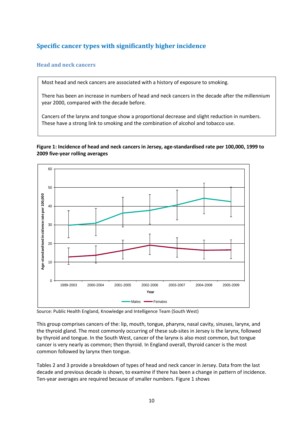# **Specific cancer types with significantly higher incidence**

#### **Head and neck cancers**

Most head and neck cancers are associated with a history of exposure to smoking.

There has been an increase in numbers of head and neck cancers in the decade after the millennium year 2000, compared with the decade before.

Cancers of the larynx and tongue show a proportional decrease and slight reduction in numbers. These have a strong link to smoking and the combination of alcohol and tobacco use.

**Figure 1: Incidence of head and neck cancers in Jersey, age-standardised rate per 100,000, 1999 to 2009 five-year rolling averages** 



Source: Public Health England, Knowledge and Intelligence Team (South West)

This group comprises cancers of the: lip, mouth, tongue, pharynx, nasal cavity, sinuses, larynx, and the thyroid gland. The most commonly occurring of these sub-sites in Jersey is the larynx, followed by thyroid and tongue. In the South West, cancer of the larynx is also most common, but tongue cancer is very nearly as common; then thyroid. In England overall, thyroid cancer is the most common followed by larynx then tongue.

Tables 2 and 3 provide a breakdown of types of head and neck cancer in Jersey. Data from the last decade and previous decade is shown, to examine if there has been a change in pattern of incidence. Ten-year averages are required because of smaller numbers. Figure 1 shows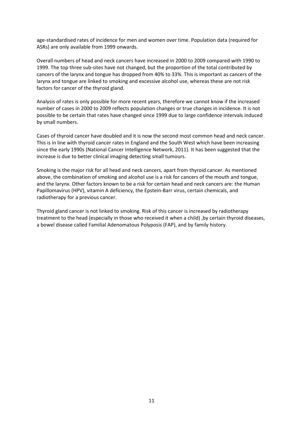age-standardised rates of incidence for men and women over time. Population data (required for ASRs) are only available from 1999 onwards.

Overall numbers of head and neck cancers have increased in 2000 to 2009 compared with 1990 to 1999. The top three sub-sites have not changed, but the proportion of the total contributed by cancers of the larynx and tongue has dropped from 40% to 33%. This is important as cancers of the larynx and tongue are linked to smoking and excessive alcohol use, whereas these are not risk factors for cancer of the thyroid gland.

Analysis of rates is only possible for more recent years, therefore we cannot know if the increased number of cases in 2000 to 2009 reflects population changes or true changes in incidence. It is not possible to be certain that rates have changed since 1999 due to large confidence intervals induced by small numbers.

Cases of thyroid cancer have doubled and it is now the second most common head and neck cancer. This is in line with thyroid cancer rates in England and the South West which have been increasing since the early 1990s (National Cancer Intelligence Network, 2011). It has been suggested that the increase is due to better clinical imaging detecting small tumours.

Smoking is the major risk for all head and neck cancers, apart from thyroid cancer. As mentioned above, the combination of smoking and alcohol use is a risk for cancers of the mouth and tongue, and the larynx. Other factors known to be a risk for certain head and neck cancers are: the Human Papillomavirus (HPV), vitamin A deficiency, the Epstein-Barr virus, certain chemicals, and radiotherapy for a previous cancer.

Thyroid gland cancer is not linked to smoking. Risk of this cancer is increased by radiotherapy treatment to the head (especially in those who received it when a child) ,by certain thyroid diseases, a bowel disease called Familial Adenomatous Polyposis (FAP), and by family history.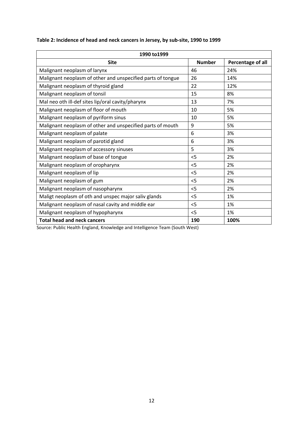| 1990 to 1999                                                |               |                   |
|-------------------------------------------------------------|---------------|-------------------|
| <b>Site</b>                                                 | <b>Number</b> | Percentage of all |
| Malignant neoplasm of larynx                                | 46            | 24%               |
| Malignant neoplasm of other and unspecified parts of tongue | 26            | 14%               |
| Malignant neoplasm of thyroid gland                         | 22            | 12%               |
| Malignant neoplasm of tonsil                                | 15            | 8%                |
| Mal neo oth ill-def sites lip/oral cavity/pharynx           | 13            | 7%                |
| Malignant neoplasm of floor of mouth                        | 10            | 5%                |
| Malignant neoplasm of pyriform sinus                        | 10            | 5%                |
| Malignant neoplasm of other and unspecified parts of mouth  | 9             | 5%                |
| Malignant neoplasm of palate                                | 6             | 3%                |
| Malignant neoplasm of parotid gland                         | 6             | 3%                |
| Malignant neoplasm of accessory sinuses                     | 5             | 3%                |
| Malignant neoplasm of base of tongue                        | 5             | 2%                |
| Malignant neoplasm of oropharynx                            | $<$ 5         | 2%                |
| Malignant neoplasm of lip                                   | $<$ 5         | 2%                |
| Malignant neoplasm of gum                                   | $<$ 5         | 2%                |
| Malignant neoplasm of nasopharynx                           | $<$ 5         | 2%                |
| Maligt neoplasm of oth and unspec major saliv glands        | $<$ 5         | 1%                |
| Malignant neoplasm of nasal cavity and middle ear           | < 5           | 1%                |
| Malignant neoplasm of hypopharynx                           | $<$ 5         | 1%                |
| <b>Total head and neck cancers</b>                          | 190           | 100%              |

#### **Table 2: Incidence of head and neck cancers in Jersey, by sub-site, 1990 to 1999**

Source: Public Health England, Knowledge and Intelligence Team (South West)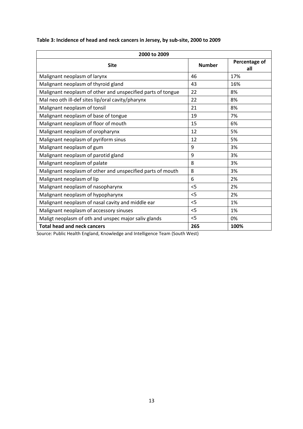| 2000 to 2009                                                |               |                      |
|-------------------------------------------------------------|---------------|----------------------|
| <b>Site</b>                                                 | <b>Number</b> | Percentage of<br>all |
| Malignant neoplasm of larynx                                | 46            | 17%                  |
| Malignant neoplasm of thyroid gland                         | 43            | 16%                  |
| Malignant neoplasm of other and unspecified parts of tongue | 22            | 8%                   |
| Mal neo oth ill-def sites lip/oral cavity/pharynx           | 22            | 8%                   |
| Malignant neoplasm of tonsil                                | 21            | 8%                   |
| Malignant neoplasm of base of tongue                        | 19            | 7%                   |
| Malignant neoplasm of floor of mouth                        | 15            | 6%                   |
| Malignant neoplasm of oropharynx                            | 12            | 5%                   |
| Malignant neoplasm of pyriform sinus                        | 12            | 5%                   |
| Malignant neoplasm of gum                                   | 9             | 3%                   |
| Malignant neoplasm of parotid gland                         | 9             | 3%                   |
| Malignant neoplasm of palate                                | 8             | 3%                   |
| Malignant neoplasm of other and unspecified parts of mouth  | 8             | 3%                   |
| Malignant neoplasm of lip                                   | 6             | 2%                   |
| Malignant neoplasm of nasopharynx                           | $<$ 5         | 2%                   |
| Malignant neoplasm of hypopharynx                           | $<$ 5         | 2%                   |
| Malignant neoplasm of nasal cavity and middle ear           | $<$ 5         | 1%                   |
| Malignant neoplasm of accessory sinuses                     | $<$ 5         | 1%                   |
| Maligt neoplasm of oth and unspec major saliv glands        | < 5           | 0%                   |
| <b>Total head and neck cancers</b>                          | 265           | 100%                 |

#### **Table 3: Incidence of head and neck cancers in Jersey, by sub-site, 2000 to 2009**

Source: Public Health England, Knowledge and Intelligence Team (South West)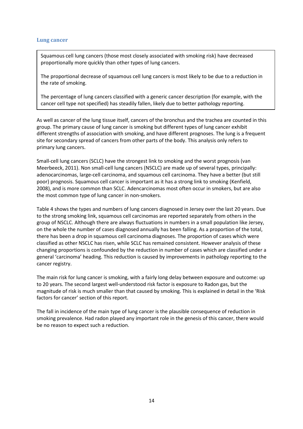#### **Lung cancer**

Squamous cell lung cancers (those most closely associated with smoking risk) have decreased proportionally more quickly than other types of lung cancers.

The proportional decrease of squamous cell lung cancers is most likely to be due to a reduction in the rate of smoking.

The percentage of lung cancers classified with a generic cancer description (for example, with the cancer cell type not specified) has steadily fallen, likely due to better pathology reporting.

As well as cancer of the lung tissue itself, cancers of the bronchus and the trachea are counted in this group. The primary cause of lung cancer is smoking but different types of lung cancer exhibit different strengths of association with smoking, and have different prognoses. The lung is a frequent site for secondary spread of cancers from other parts of the body. This analysis only refers to primary lung cancers.

Small-cell lung cancers (SCLC) have the strongest link to smoking and the worst prognosis (van Meerbeeck, 2011). Non small-cell lung cancers (NSCLC) are made up of several types, principally: adenocarcinomas, large-cell carcinoma, and squamous cell carcinoma. They have a better (but still poor) prognosis. Squamous cell cancer is important as it has a strong link to smoking (Kenfield, 2008), and is more common than SCLC. Adencarcinomas most often occur in smokers, but are also the most common type of lung cancer in non-smokers.

Table 4 shows the types and numbers of lung cancers diagnosed in Jersey over the last 20 years. Due to the strong smoking link, squamous cell carcinomas are reported separately from others in the group of NSCLC. Although there are always fluctuations in numbers in a small population like Jersey, on the whole the number of cases diagnosed annually has been falling. As a proportion of the total, there has been a drop in squamous cell carcinoma diagnoses. The proportion of cases which were classified as other NSCLC has risen, while SCLC has remained consistent. However analysis of these changing proportions is confounded by the reduction in number of cases which are classified under a general 'carcinoma' heading. This reduction is caused by improvements in pathology reporting to the cancer registry.

The main risk for lung cancer is smoking, with a fairly long delay between exposure and outcome: up to 20 years. The second largest well-understood risk factor is exposure to Radon gas, but the magnitude of risk is much smaller than that caused by smoking. This is explained in detail in the 'Risk factors for cancer' section of this report.

The fall in incidence of the main type of lung cancer is the plausible consequence of reduction in smoking prevalence. Had radon played any important role in the genesis of this cancer, there would be no reason to expect such a reduction.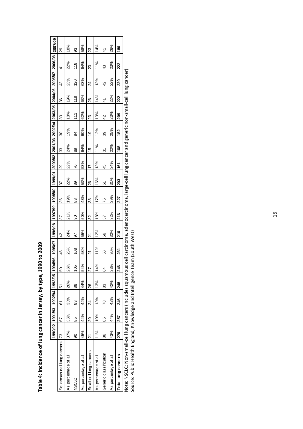|                                                                                                                                                            |     |     | 1990/92 1991/93 1992/94 1993/95 1994/96 |                |               |     | 1995/97 1996/98 |     | 1997/99  1998/00  1999/01  2000/02  2001/03  2002/04  2003/05  2004/06  2005/07  2006/08  2007/09 |     |                |     |           |               |     |                |     |               |
|------------------------------------------------------------------------------------------------------------------------------------------------------------|-----|-----|-----------------------------------------|----------------|---------------|-----|-----------------|-----|---------------------------------------------------------------------------------------------------|-----|----------------|-----|-----------|---------------|-----|----------------|-----|---------------|
| Squamous cell lung cancers  73                                                                                                                             |     | 67  | 6                                       | $\overline{5}$ | 50            | 46  | $\overline{4}$  | 37  | 36                                                                                                | 37  | 29             | 33  | 30        | 33            | SS  | 43             | 4   | 29            |
| As percentage of all                                                                                                                                       | 37% | 35% | 33%                                     | 26%            | 26%           | 25% | 24%             | 21% | 19%                                                                                               | 22% | 22%            | 24% | 19%       | 18%           | 19% | 23%            | 22% | 18%           |
| <b>CICS</b>                                                                                                                                                | 8   | 85  | 83                                      | 88             | 105           | 108 | 56              | 90  | 83                                                                                                | 89  | 20             | 89  | 8         | 111           | 119 | <b>20</b>      | 118 | 93            |
| As percentage of all                                                                                                                                       | 45% | 44% | 44%                                     | 44%            | 54%           | 58% | 55%             | 50% | 43%                                                                                               | 53% | 53%            | 64% | 60%       | 62%           | 63% | 63%            | 64% | 58%           |
| Small-cell lung cancers                                                                                                                                    | ম   | 20  | 24                                      | 26             | 27            | ম   | 21              | 32  | 33                                                                                                | 26  | $\overline{1}$ | 15  | <u>စု</u> | 23            | 88  | $\overline{2}$ | 20  | 23            |
| As percentage of all                                                                                                                                       | 11% | 10% | 13%                                     | 13%            | 14%           | 11% | 12%             | 18% | 17%                                                                                               | 16% | 13%            | 11% | 12%       | 13%           | 14% | 13%            | 11% | 14%           |
| Generic classification                                                                                                                                     | 88  | 85  | R<br>Z                                  | 83             | 3             | 56  | 99              | 57  | 75                                                                                                | 51  | 45             | 51  | 89        | $\frac{2}{3}$ | 4   | $\frac{2}{3}$  | 43  | $\frac{4}{1}$ |
| As percentage of all                                                                                                                                       | 43% | 44% | 42%                                     | 42%            | 33%           | 30% | 32%             | 32% | 39%                                                                                               | 31% | 34%            | 22% | 25%       | 23%           | 22% | 22%            | 23% | 26%           |
| Total lung cancers                                                                                                                                         | 270 | 257 | 246                                     | 248            | $\frac{8}{2}$ | 231 | 216             | 216 | 227                                                                                               | 203 | έ              | 168 | 182       | <b>209</b>    | 222 | 23             | 222 | 186           |
| Note: NSCLC: Mon-small-cell lung cancers (includes squamous cell carcinoma, adenocarcinoma, large-cell lung cancer and generic non-small-cell lung cancer) |     |     |                                         |                |               |     |                 |     |                                                                                                   |     |                |     |           |               |     |                |     |               |

Table 4: Incidence of lung cancer in Jersey, by type, 1990 to 2009 **Table 4: Incidence of lung cancer in Jersey, by type, 1990 to 2009** 

Source: Public Health England, Knowledge and Intelligence Team (South West) Source: Public Health England, Knowledge and Intelligence Team (South West)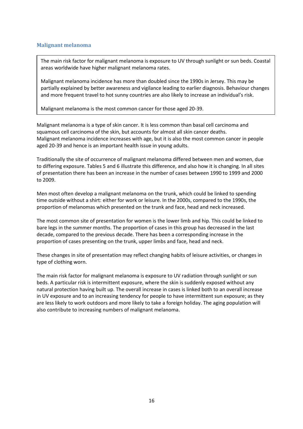#### **Malignant melanoma**

The main risk factor for malignant melanoma is exposure to UV through sunlight or sun beds. Coastal areas worldwide have higher malignant melanoma rates.

Malignant melanoma incidence has more than doubled since the 1990s in Jersey. This may be partially explained by better awareness and vigilance leading to earlier diagnosis. Behaviour changes and more frequent travel to hot sunny countries are also likely to increase an individual's risk.

Malignant melanoma is the most common cancer for those aged 20-39.

Malignant melanoma is a type of skin cancer. It is less common than basal cell carcinoma and squamous cell carcinoma of the skin, but accounts for almost all skin cancer deaths. Malignant melanoma incidence increases with age, but it is also the most common cancer in people aged 20-39 and hence is an important health issue in young adults.

Traditionally the site of occurrence of malignant melanoma differed between men and women, due to differing exposure. Tables 5 and 6 illustrate this difference, and also how it is changing. In all sites of presentation there has been an increase in the number of cases between 1990 to 1999 and 2000 to 2009.

Men most often develop a malignant melanoma on the trunk, which could be linked to spending time outside without a shirt: either for work or leisure. In the 2000s, compared to the 1990s, the proportion of melanomas which presented on the trunk and face, head and neck increased.

The most common site of presentation for women is the lower limb and hip. This could be linked to bare legs in the summer months. The proportion of cases in this group has decreased in the last decade, compared to the previous decade. There has been a corresponding increase in the proportion of cases presenting on the trunk, upper limbs and face, head and neck.

These changes in site of presentation may reflect changing habits of leisure activities, or changes in type of clothing worn.

The main risk factor for malignant melanoma is exposure to UV radiation through sunlight or sun beds. A particular risk is intermittent exposure, where the skin is suddenly exposed without any natural protection having built up. The overall increase in cases is linked both to an overall increase in UV exposure and to an increasing tendency for people to have intermittent sun exposure; as they are less likely to work outdoors and more likely to take a foreign holiday. The aging population will also contribute to increasing numbers of malignant melanoma.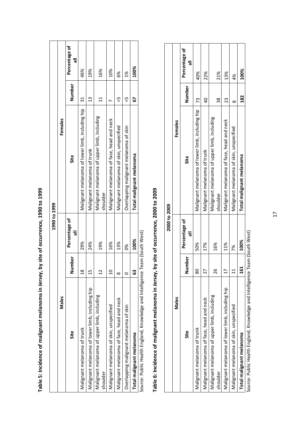|                                                                            |          | 1990 to 1999              |                                                         |              |                           |
|----------------------------------------------------------------------------|----------|---------------------------|---------------------------------------------------------|--------------|---------------------------|
| Males                                                                      |          |                           | Females                                                 |              |                           |
| Site                                                                       | Number   | Percentage of<br>$\equiv$ | Site                                                    | Number       | Percentage of<br>$\equiv$ |
| Malignant melanoma of trunk                                                | ٣        | 29%                       | Malignant melanoma of lower limb, including hip         | 31           | 46%                       |
| Malignant melanoma of lower limb, including hip                            | ٣        | 24%                       | Malignant melanoma of trunk                             | 13           | 19%                       |
| Malignant melanoma of upper limb, including<br>shoulder                    | ۳        | 19%                       | Malignant melanoma of upper limb, including<br>shoulder | $\mathbf{1}$ | 16%                       |
| Malignant melanoma of skin, unspecified                                    |          | 16%                       | Malignant melanoma of face, head and neck               |              | 10%                       |
| Malignant melanoma of face, head and neck                                  | $\infty$ | 13%                       | Malignant melanoma of skin, unspecified                 | ₹            | 6%                        |
| Overlapping malignant melanoma of skin                                     | c        | ఠ్య                       | Overlapping malignant melanoma of skin                  | ç,           | $^{26}$                   |
| Total malignant melanoma                                                   | ය        | 100%                      | Total malignant melanoma                                | 5            | 100%                      |
| Source: Public Health England Knowledge and Intelligence Team (South West) |          |                           |                                                         |              |                           |

Table 5: Incidence of malignant melanoma in Jersey, by site of occurrence, 1990 to 1999 **Table 5: Incidence of malignant melanoma in Jersey, by site of occurrence, 1990 to 1999** 

Source: Public Health England, Knowledge and Intelligence Team (South West). Source: Public Health England, Knowledge and Intelligence Team (South West)

# Table 6: Incidence of malignant melanoma in Jersey, by site of occurrence, 2000 to 2009 **Table 6: Incidence of malignant melanoma in Jersey, by site of occurrence, 2000 to 2009**

|                                                         |               | 2000 to 2009       |                                                         |                |                    |
|---------------------------------------------------------|---------------|--------------------|---------------------------------------------------------|----------------|--------------------|
| Males                                                   |               |                    | Females                                                 |                |                    |
| Site                                                    | <b>Number</b> | Percentage of<br>ᄛ | Site                                                    | Number         | Percentage of<br>ᇹ |
| Malignant melanoma of trunk                             | ຂ             | 50%                | Malignant melanoma of lower limb, including hip         | 73             | 40%                |
| Malignant melanoma of face, head and neck               |               | 17%                | Malignant melanoma of trunk                             | $\overline{a}$ | 22%                |
| Malignant melanoma of upper limb, including<br>shoulder | 9             | 16%                | Malignant melanoma of upper limb, including<br>shoulder | 38             | 21%                |
| Malignant melanoma of lower limb, including hip         |               | 11%                | Malignant melanoma of face, head and neck               | 23             | 13%                |
| Malignant melanoma of skin, unspecified                 |               | 7%                 | Malignant melanoma of skin, unspecified                 | $\infty$       | $\frac{8}{3}$      |
| Total malignant melanoma                                | <u>ជ</u>      | 100%               | Total malignant melanoma                                | 182            | 100%               |
|                                                         |               |                    |                                                         |                |                    |

Source: Public Health England, Knowledge and Intelligence Team (South West) Source: Public Health England, Knowledge and Intelligence Team (South West)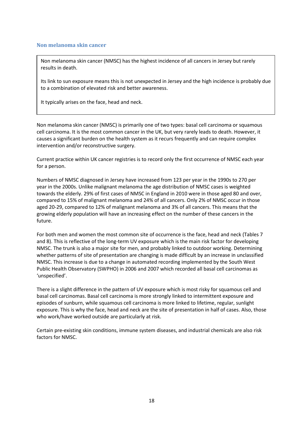#### **Non melanoma skin cancer**

Non melanoma skin cancer (NMSC) has the highest incidence of all cancers in Jersey but rarely results in death.

Its link to sun exposure means this is not unexpected in Jersey and the high incidence is probably due to a combination of elevated risk and better awareness.

It typically arises on the face, head and neck.

Non melanoma skin cancer (NMSC) is primarily one of two types: basal cell carcinoma or squamous cell carcinoma. It is the most common cancer in the UK, but very rarely leads to death. However, it causes a significant burden on the health system as it recurs frequently and can require complex intervention and/or reconstructive surgery.

Current practice within UK cancer registries is to record only the first occurrence of NMSC each year for a person.

Numbers of NMSC diagnosed in Jersey have increased from 123 per year in the 1990s to 270 per year in the 2000s. Unlike malignant melanoma the age distribution of NMSC cases is weighted towards the elderly. 29% of first cases of NMSC in England in 2010 were in those aged 80 and over, compared to 15% of malignant melanoma and 24% of all cancers. Only 2% of NMSC occur in those aged 20-29, compared to 12% of malignant melanoma and 3% of all cancers. This means that the growing elderly population will have an increasing effect on the number of these cancers in the future.

For both men and women the most common site of occurrence is the face, head and neck (Tables 7 and 8). This is reflective of the long-term UV exposure which is the main risk factor for developing NMSC. The trunk is also a major site for men, and probably linked to outdoor working. Determining whether patterns of site of presentation are changing is made difficult by an increase in unclassified NMSC. This increase is due to a change in automated recording implemented by the South West Public Health Observatory (SWPHO) in 2006 and 2007 which recorded all basal cell carcinomas as 'unspecified'.

There is a slight difference in the pattern of UV exposure which is most risky for squamous cell and basal cell carcinomas. Basal cell carcinoma is more strongly linked to intermittent exposure and episodes of sunburn, while squamous cell carcinoma is more linked to lifetime, regular, sunlight exposure. This is why the face, head and neck are the site of presentation in half of cases. Also, those who work/have worked outside are particularly at risk.

Certain pre-existing skin conditions, immune system diseases, and industrial chemicals are also risk factors for NMSC.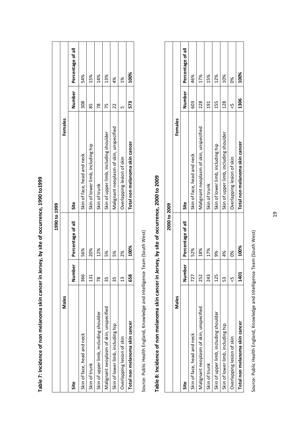|                                         |               | 1990 to 1999      |                                         |               |                   |
|-----------------------------------------|---------------|-------------------|-----------------------------------------|---------------|-------------------|
| Males                                   |               |                   | Females                                 |               |                   |
| Site                                    | Number        | Percentage of all | Site                                    | Number        | Percentage of all |
| Skin of face, head and neck             | 366           | 56%               | Skin of face, head and neck             | 308           | 54%               |
| Skin of trunk                           | 131           | 20%               | Skin of lower limb, including hip       | 89            | 15%               |
| Skin of upper limb, including shoulder  | $\frac{8}{2}$ | 12%               | Skin of trunk                           | $\frac{8}{2}$ | 14%               |
| Malignant neoplasm of skin, unspecified | 55            | 5%                | Skin of upper limb, including shoulder  | 75            | 13%               |
| Skin of lower limb, including hip       | 35            | 5%                | Malignant neoplasm of skin, unspecified | 22            | 4%                |
| Overlapping lesion of skin              | $\frac{3}{2}$ | 2%                | Overlapping lesion of skin              | ഥ             | $\frac{8}{3}$     |
| Total non melanoma skin cancer          | 658           | 100%              | Total non melanoma skin cancer          | 573           | 100%              |
|                                         |               |                   |                                         |               |                   |

Table 7: Incidence of non melanoma skin cancer in Jersey, by site of occurrence, 1990 to1999 **Table 7: Incidence of non melanoma skin cancer in Jersey, by site of occurrence, 1990 to1999** 

Source: Public Health England, Knowledge and Intelligence Team (South West) Source: Public Health England, Knowledge and Intelligence Team (South West)

# Table 8: Incidence of non melanoma skin cancer in Jersey, by site of occurrence, 2000 to 2009 **Table 8: Incidence of non melanoma skin cancer in Jersey, by site of occurrence, 2000 to 2009**

|                                         |                           | 2000 to 2009      |                                         |        |                   |
|-----------------------------------------|---------------------------|-------------------|-----------------------------------------|--------|-------------------|
| Males                                   |                           |                   | Females                                 |        |                   |
| Site                                    | ber<br>D<br>n<br>Num<br>Z | Percentage of all | Site                                    | Number | Percentage of all |
| Skin of face, head and neck             | 727                       | 52%               | Skin of face, head and neck             | 603    | 46%               |
| Malignant neoplasm of skin, unspecified | 252                       | 18%               | Malignant neoplasm of skin, unspecified | 228    | 17%               |
| Skin of trunk                           | 243                       | 17%               | Skin of trunk                           | 191    | 15%               |
| Skin of upper limb, including shoulder  | 125                       | క్ట               | Skin of lower limb, including hip       | 155    | 12%               |
| Skin of lower limb, including hip       | 53                        | 4%                | Skin of upper limb, including shoulder  | 128    | 10%               |
| Overlapping lesion of skin              | ს)<br>V                   | ఠ్య               | Overlapping lesion of skin              | Ÿ      | క                 |
| Total non melanoma skin cancer          | 1401                      | 100%              | Total non melanoma skin cancer          | 1306   | 100%              |

Source: Public Health England, Knowledge and Intelligence Team (South West) Source: Public Health England, Knowledge and Intelligence Team (South West)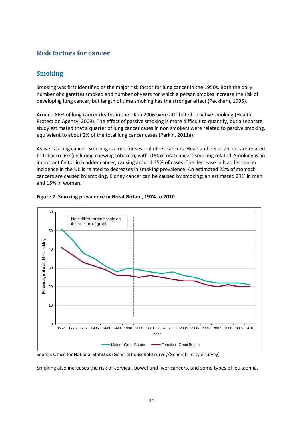## **Risk factors for cancer**

### **Smoking**

Smoking was first identified as the major risk factor for lung cancer in the 1950s. Both the daily number of cigarettes smoked and number of years for which a person smokes increase the risk of developing lung cancer, but length of time smoking has the stronger effect (Peckham, 1995).

Around 86% of lung cancer deaths in the UK in 2006 were attributed to active smoking (Health Protection Agency, 2009). The effect of passive smoking is more difficult to quantify, but a separate study estimated that a quarter of lung cancer cases in non smokers were related to passive smoking, equivalent to about 2% of the total lung cancer cases (Parkin, 2011a).

As well as lung cancer, smoking is a risk for several other cancers. Head and neck cancers are related to tobacco use (including chewing tobacco), with 70% of oral cancers smoking related. Smoking is an important factor in bladder cancer, causing around 35% of cases. The decrease in bladder cancer incidence in the UK is related to decreases in smoking prevalence. An estimated 22% of stomach cancers are caused by smoking. Kidney cancer can be caused by smoking: an estimated 29% in men and 15% in women.



#### **Figure 2: Smoking prevalence in Great Britain, 1974 to 2010**

Source: Office for National Statistics (General household survey/General lifestyle survey)

Smoking also increases the risk of cervical, bowel and liver cancers, and some types of leukaemia.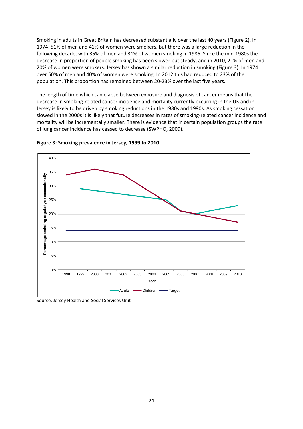Smoking in adults in Great Britain has decreased substantially over the last 40 years (Figure 2). In 1974, 51% of men and 41% of women were smokers, but there was a large reduction in the following decade, with 35% of men and 31% of women smoking in 1986. Since the mid-1980s the decrease in proportion of people smoking has been slower but steady, and in 2010, 21% of men and 20% of women were smokers. Jersey has shown a similar reduction in smoking (Figure 3). In 1974 over 50% of men and 40% of women were smoking. In 2012 this had reduced to 23% of the population. This proportion has remained between 20-23% over the last five years.

The length of time which can elapse between exposure and diagnosis of cancer means that the decrease in smoking-related cancer incidence and mortality currently occurring in the UK and in Jersey is likely to be driven by smoking reductions in the 1980s and 1990s. As smoking cessation slowed in the 2000s it is likely that future decreases in rates of smoking-related cancer incidence and mortality will be incrementally smaller. There is evidence that in certain population groups the rate of lung cancer incidence has ceased to decrease (SWPHO, 2009).





Source: Jersey Health and Social Services Unit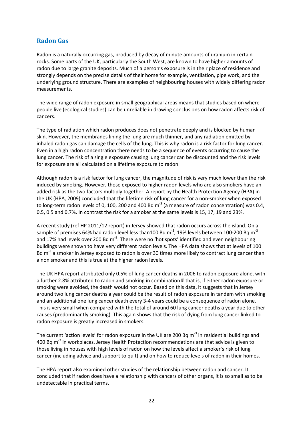## **Radon Gas**

Radon is a naturally occurring gas, produced by decay of minute amounts of uranium in certain rocks. Some parts of the UK, particularly the South West, are known to have higher amounts of radon due to large granite deposits. Much of a person's exposure is in their place of residence and strongly depends on the precise details of their home for example, ventilation, pipe work, and the underlying ground structure. There are examples of neighbouring houses with widely differing radon measurements.

The wide range of radon exposure in small geographical areas means that studies based on where people live (ecological studies) can be unreliable in drawing conclusions on how radon affects risk of cancers.

The type of radiation which radon produces does not penetrate deeply and is blocked by human skin. However, the membranes lining the lung are much thinner, and any radiation emitted by inhaled radon gas can damage the cells of the lung. This is why radon is a risk factor for lung cancer. Even in a high radon concentration there needs to be a sequence of events occurring to cause the lung cancer. The risk of a single exposure causing lung cancer can be discounted and the risk levels for exposure are all calculated on a lifetime exposure to radon.

Although radon is a risk factor for lung cancer, the magnitude of risk is very much lower than the risk induced by smoking. However, those exposed to higher radon levels who are also smokers have an added risk as the two factors multiply together. A report by the Health Protection Agency (HPA) in the UK (HPA, 2009) concluded that the lifetime risk of lung cancer for a non-smoker when exposed to long-term radon levels of 0, 100, 200 and 400 Bq  $m^{-3}$  (a measure of radon concentration) was 0.4, 0.5, 0.5 and 0.7%. In contrast the risk for a smoker at the same levels is 15, 17, 19 and 23%.

A recent study (ref HP 2011/12 report) in Jersey showed that radon occurs across the island. On a sample of premises 64% had radon level less than100 Bq m<sup>-3</sup>, 19% levels between 100-200 Bq m<sup>-3</sup> and 17% had levels over 200 Bq  $m<sup>3</sup>$ . There were no 'hot spots' identified and even neighbouring buildings were shown to have very different radon levels. The HPA data shows that at levels of 100 Bq  $m<sup>3</sup>$  a smoker in Jersey exposed to radon is over 30 times more likely to contract lung cancer than a non smoker and this is true at the higher radon levels.

The UK HPA report attributed only 0.5% of lung cancer deaths in 2006 to radon exposure alone, with a further 2.8% attributed to radon and smoking in combination **a** that is, if either radon exposure or smoking were avoided, the death would not occur. Based on this data, it suggests that in Jersey around two lung cancer deaths a year could be the result of radon exposure in tandem with smoking and an additional one lung cancer death every 3-4 years could be a consequence of radon alone. This is very small when compared with the total of around 60 lung cancer deaths a year due to other causes (predominantly smoking). This again shows that the risk of dying from lung cancer linked to radon exposure is greatly increased in smokers.

The current 'action levels' for radon exposure in the UK are 200 Bq  $m<sup>-3</sup>$  in residential buildings and 400 Bq  $m<sup>-3</sup>$  in workplaces. Jersey Health Protection recommendations are that advice is given to those living in houses with high levels of radon on how the levels affect a smoker's risk of lung cancer (including advice and support to quit) and on how to reduce levels of radon in their homes.

The HPA report also examined other studies of the relationship between radon and cancer. It concluded that if radon does have a relationship with cancers of other organs, it is so small as to be undetectable in practical terms.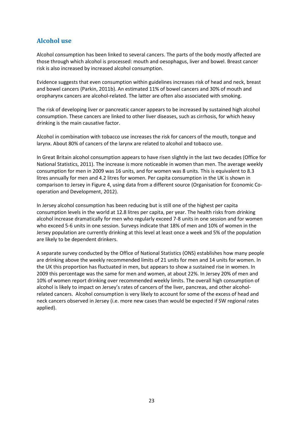## **Alcohol use**

Alcohol consumption has been linked to several cancers. The parts of the body mostly affected are those through which alcohol is processed: mouth and oesophagus, liver and bowel. Breast cancer risk is also increased by increased alcohol consumption.

Evidence suggests that even consumption within guidelines increases risk of head and neck, breast and bowel cancers (Parkin, 2011b). An estimated 11% of bowel cancers and 30% of mouth and oropharynx cancers are alcohol-related. The latter are often also associated with smoking.

The risk of developing liver or pancreatic cancer appears to be increased by sustained high alcohol consumption. These cancers are linked to other liver diseases, such as cirrhosis, for which heavy drinking is the main causative factor.

Alcohol in combination with tobacco use increases the risk for cancers of the mouth, tongue and larynx. About 80% of cancers of the larynx are related to alcohol and tobacco use.

In Great Britain alcohol consumption appears to have risen slightly in the last two decades (Office for National Statistics, 2011). The increase is more noticeable in women than men. The average weekly consumption for men in 2009 was 16 units, and for women was 8 units. This is equivalent to 8.3 litres annually for men and 4.2 litres for women. Per capita consumption in the UK is shown in comparison to Jersey in Figure 4, using data from a different source (Organisation for Economic Cooperation and Development, 2012).

In Jersey alcohol consumption has been reducing but is still one of the highest per capita consumption levels in the world at 12.8 litres per capita, per year. The health risks from drinking alcohol increase dramatically for men who regularly exceed 7-8 units in one session and for women who exceed 5-6 units in one session. Surveys indicate that 18% of men and 10% of women in the Jersey population are currently drinking at this level at least once a week and 5% of the population are likely to be dependent drinkers.

A separate survey conducted by the Office of National Statistics (ONS) establishes how many people are drinking above the weekly recommended limits of 21 units for men and 14 units for women. In the UK this proportion has fluctuated in men, but appears to show a sustained rise in women. In 2009 this percentage was the same for men and women, at about 22%. In Jersey 20% of men and 10% of women report drinking over recommended weekly limits. The overall high consumption of alcohol is likely to impact on Jersey's rates of cancers of the liver, pancreas, and other alcoholrelated cancers. Alcohol consumption is very likely to account for some of the excess of head and neck cancers observed in Jersey (i.e. more new cases than would be expected if SW regional rates applied).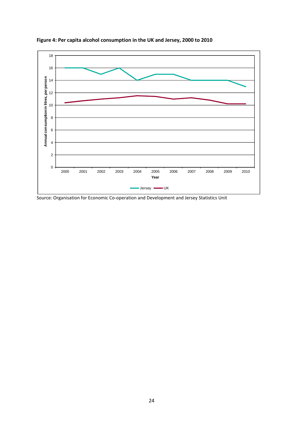

**Figure 4: Per capita alcohol consumption in the UK and Jersey, 2000 to 2010** 

Source: Organisation for Economic Co-operation and Development and Jersey Statistics Unit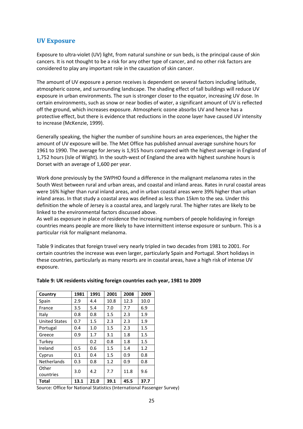#### **UV Exposure**

Exposure to ultra-violet (UV) light, from natural sunshine or sun beds, is the principal cause of skin cancers. It is not thought to be a risk for any other type of cancer, and no other risk factors are considered to play any important role in the causation of skin cancer.

The amount of UV exposure a person receives is dependent on several factors including latitude, atmospheric ozone, and surrounding landscape. The shading effect of tall buildings will reduce UV exposure in urban environments. The sun is stronger closer to the equator, increasing UV dose. In certain environments, such as snow or near bodies of water, a significant amount of UV is reflected off the ground, which increases exposure. Atmospheric ozone absorbs UV and hence has a protective effect, but there is evidence that reductions in the ozone layer have caused UV intensity to increase (McKenzie, 1999).

Generally speaking, the higher the number of sunshine hours an area experiences, the higher the amount of UV exposure will be. The Met Office has published annual average sunshine hours for 1961 to 1990. The average for Jersey is 1,915 hours compared with the highest average in England of 1,752 hours (Isle of Wight). In the south-west of England the area with highest sunshine hours is Dorset with an average of 1,600 per year.

Work done previously by the SWPHO found a difference in the malignant melanoma rates in the South West between rural and urban areas, and coastal and inland areas. Rates in rural coastal areas were 16% higher than rural inland areas, and in urban coastal areas were 39% higher than urban inland areas. In that study a coastal area was defined as less than 15km to the sea. Under this definition the whole of Jersey is a coastal area, and largely rural. The higher rates are likely to be linked to the environmental factors discussed above.

As well as exposure in place of residence the increasing numbers of people holidaying in foreign countries means people are more likely to have intermittent intense exposure or sunburn. This is a particular risk for malignant melanoma.

Table 9 indicates that foreign travel very nearly tripled in two decades from 1981 to 2001. For certain countries the increase was even larger, particularly Spain and Portugal. Short holidays in these countries, particularly as many resorts are in coastal areas, have a high risk of intense UV exposure.

| Country              | 1981 | 1991 | 2001    | 2008 | 2009 |
|----------------------|------|------|---------|------|------|
| Spain                | 2.9  | 4.4  | 10.8    | 12.3 | 10.0 |
| France               | 3.5  | 5.4  | 7.0     | 7.7  | 6.9  |
| Italy                | 0.8  | 0.8  | $1.5\,$ | 2.3  | 1.9  |
| <b>United States</b> | 0.7  | 1.5  | 2.3     | 2.3  | 1.9  |
| Portugal             | 0.4  | 1.0  | $1.5\,$ | 2.3  | 1.5  |
| Greece               | 0.9  | 1.7  | 3.1     | 1.8  | 1.5  |
| Turkey               |      | 0.2  | 0.8     | 1.8  | 1.5  |
| Ireland              | 0.5  | 0.6  | $1.5\,$ | 1.4  | 1.2  |
| Cyprus               | 0.1  | 0.4  | $1.5\,$ | 0.9  | 0.8  |
| <b>Netherlands</b>   | 0.3  | 0.8  | 1.2     | 0.9  | 0.8  |
| Other<br>countries   | 3.0  | 4.2  | 7.7     | 11.8 | 9.6  |
| Total                | 13.1 | 21.0 | 39.1    | 45.5 | 37.7 |

#### **Table 9: UK residents visiting foreign countries each year, 1981 to 2009**

Source: Office for National Statistics (International Passenger Survey)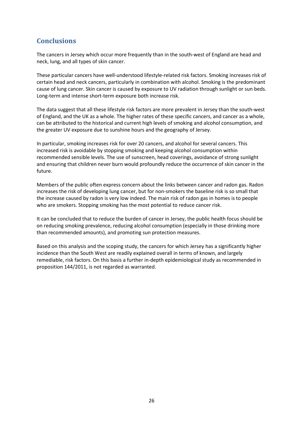# **Conclusions**

The cancers in Jersey which occur more frequently than in the south-west of England are head and neck, lung, and all types of skin cancer.

These particular cancers have well-understood lifestyle-related risk factors. Smoking increases risk of certain head and neck cancers, particularly in combination with alcohol. Smoking is the predominant cause of lung cancer. Skin cancer is caused by exposure to UV radiation through sunlight or sun beds. Long-term and intense short-term exposure both increase risk.

The data suggest that all these lifestyle risk factors are more prevalent in Jersey than the south-west of England, and the UK as a whole. The higher rates of these specific cancers, and cancer as a whole, can be attributed to the historical and current high levels of smoking and alcohol consumption, and the greater UV exposure due to sunshine hours and the geography of Jersey.

In particular, smoking increases risk for over 20 cancers, and alcohol for several cancers. This increased risk is avoidable by stopping smoking and keeping alcohol consumption within recommended sensible levels. The use of sunscreen, head coverings, avoidance of strong sunlight and ensuring that children never burn would profoundly reduce the occurrence of skin cancer in the future.

Members of the public often express concern about the links between cancer and radon gas. Radon increases the risk of developing lung cancer, but for non-smokers the baseline risk is so small that the increase caused by radon is very low indeed. The main risk of radon gas in homes is to people who are smokers. Stopping smoking has the most potential to reduce cancer risk.

It can be concluded that to reduce the burden of cancer in Jersey, the public health focus should be on reducing smoking prevalence, reducing alcohol consumption (especially in those drinking more than recommended amounts), and promoting sun protection measures.

Based on this analysis and the scoping study, the cancers for which Jersey has a significantly higher incidence than the South West are readily explained overall in terms of known, and largely remediable, risk factors. On this basis a further in-depth epidemiological study as recommended in proposition 144/2011, is not regarded as warranted.